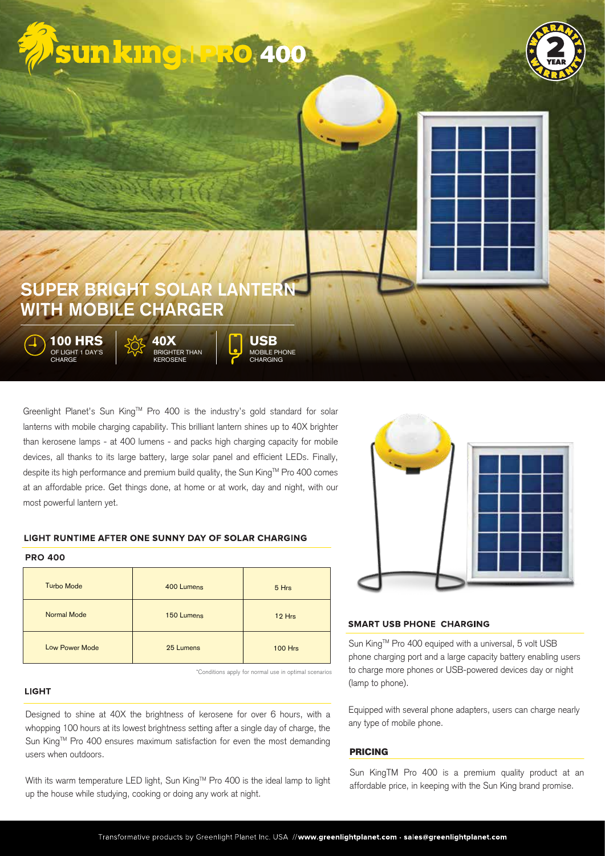





# SUPER BRIGHT SOLAR LANTERN WITH MOBILE CHARGER

**100 HRS** OF LIGHT 1 DAY'S **CHARGE** 

**40X** BRIGHTER THAN EROSENE

**USB** MOBILE PHONE CHARGING

Greenlight Planet's Sun King™ Pro 400 is the industry's gold standard for solar lanterns with mobile charging capability. This brilliant lantern shines up to 40X brighter than kerosene lamps - at 400 lumens - and packs high charging capacity for mobile devices, all thanks to its large battery, large solar panel and efficient LEDs. Finally, despite its high performance and premium build quality, the Sun King™ Pro 400 comes at an affordable price. Get things done, at home or at work, day and night, with our most powerful lantern yet.

# LIGHT RUNTIME AFTER ONE SUNNY DAY OF SOLAR CHARGING

# **PRO 400**

| <b>Turbo Mode</b>     | 400 Lumens | 5 Hrs          |
|-----------------------|------------|----------------|
| <b>Normal Mode</b>    | 150 Lumens | 12 Hrs         |
| <b>Low Power Mode</b> | 25 Lumens  | <b>100 Hrs</b> |

\*Conditions apply for normal use in optimal scenarios

# **LIGHT**

Designed to shine at 40X the brightness of kerosene for over 6 hours, with a whopping 100 hours at its lowest brightness setting after a single day of charge, the Sun King™ Pro 400 ensures maximum satisfaction for even the most demanding users when outdoors.

With its warm temperature LED light, Sun King™ Pro 400 is the ideal lamp to light up the house while studying, cooking or doing any work at night.



# **SMART USB PHONE CHARGING**

Sun King™ Pro 400 equiped with a universal, 5 volt USB phone charging port and a large capacity battery enabling users to charge more phones or USB-powered devices day or night (lamp to phone).

Equipped with several phone adapters, users can charge nearly any type of mobile phone.

# **PRICING**

Sun KingTM Pro 400 is a premium quality product at an affordable price, in keeping with the Sun King brand promise.